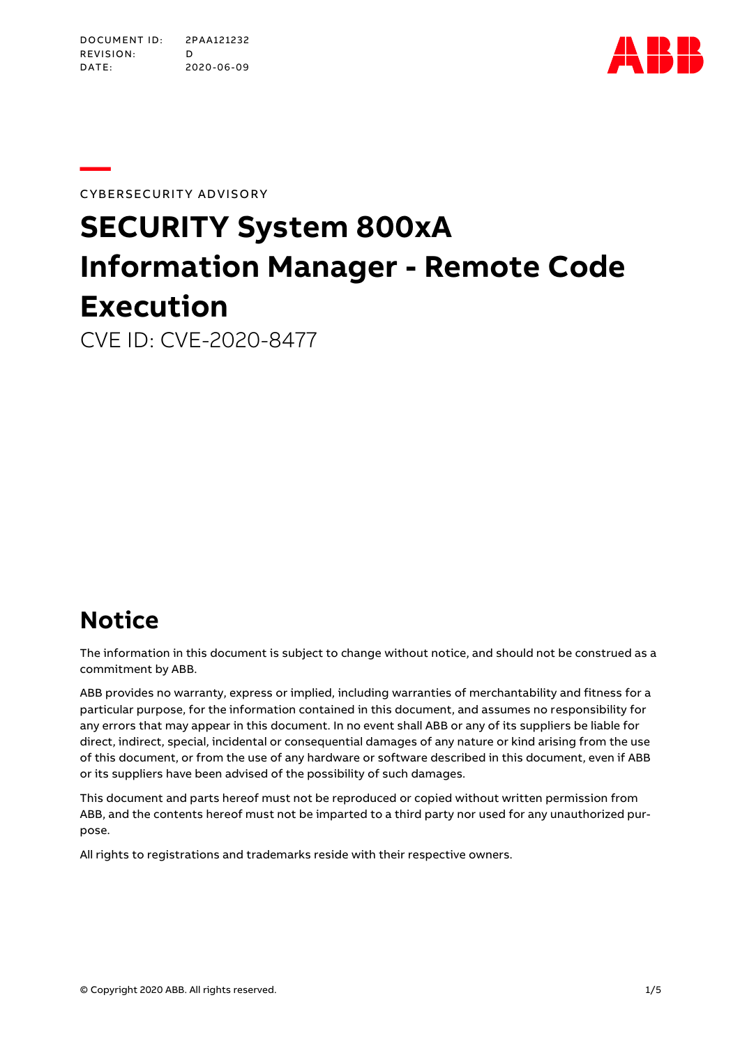

**—**CYBERSECURITY ADVISORY

# **SECURITY System 800xA Information Manager - Remote Code Execution**

CVE ID: CVE-2020-8477

### **Notice**

The information in this document is subject to change without notice, and should not be construed as a commitment by ABB.

ABB provides no warranty, express or implied, including warranties of merchantability and fitness for a particular purpose, for the information contained in this document, and assumes no responsibility for any errors that may appear in this document. In no event shall ABB or any of its suppliers be liable for direct, indirect, special, incidental or consequential damages of any nature or kind arising from the use of this document, or from the use of any hardware or software described in this document, even if ABB or its suppliers have been advised of the possibility of such damages.

This document and parts hereof must not be reproduced or copied without written permission from ABB, and the contents hereof must not be imparted to a third party nor used for any unauthorized purpose.

All rights to registrations and trademarks reside with their respective owners.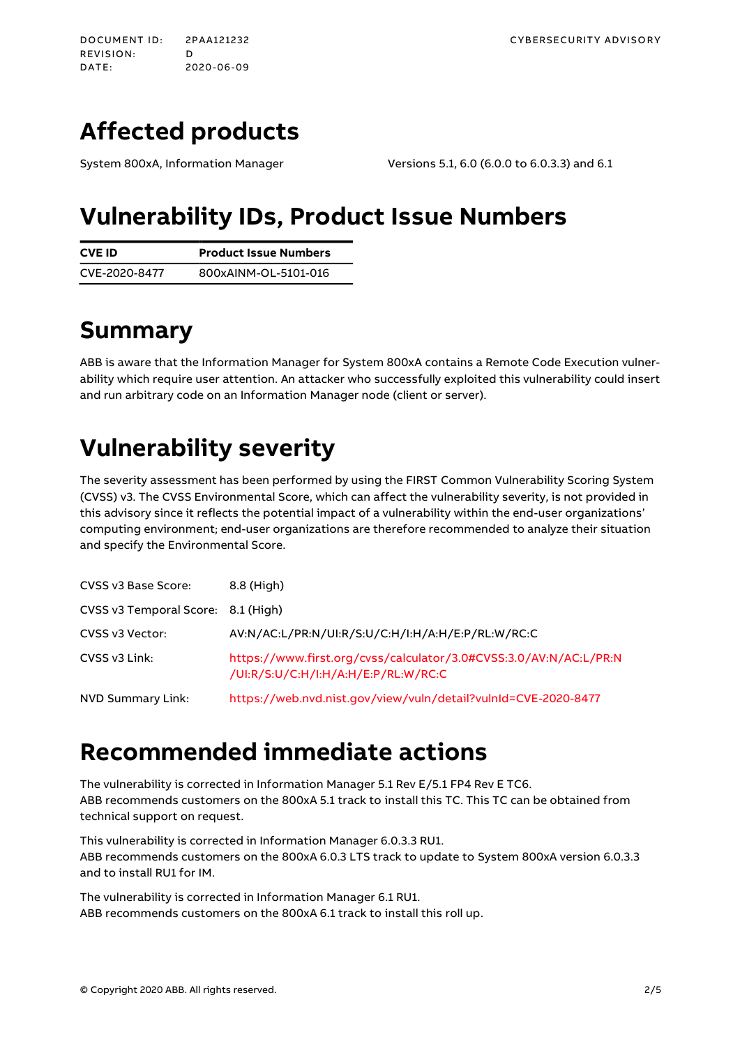# <span id="page-1-0"></span>**Affected products**

System 800xA, Information Manager Versions 5.1, 6.0 (6.0.0 to 6.0.3.3) and 6.1

### **Vulnerability IDs, Product Issue Numbers**

| <b>CVE ID</b> | <b>Product Issue Numbers</b> |  |
|---------------|------------------------------|--|
| CVE-2020-8477 | 800xAINM-OL-5101-016         |  |

# **Summary**

ABB is aware that the Information Manager for System 800xA contains a Remote Code Execution vulnerability which require user attention. An attacker who successfully exploited this vulnerability could insert and run arbitrary code on an Information Manager node (client or server).

# **Vulnerability severity**

The severity assessment has been performed by using the FIRST Common Vulnerability Scoring System (CVSS) v3. The CVSSEnvironmental Score, which can affect the vulnerability severity, is not provided in this advisory since it reflects the potential impact of a vulnerability within the end-user organizations' computing environment; end-user organizations are therefore recommended to analyze their situation and specify the Environmental Score.

| CVSS v3 Base Score:                | 8.8 (High)                                                                                               |
|------------------------------------|----------------------------------------------------------------------------------------------------------|
| CVSS v3 Temporal Score: 8.1 (High) |                                                                                                          |
| CVSS v3 Vector:                    | AV:N/AC:L/PR:N/UI:R/S:U/C:H/I:H/A:H/E:P/RL:W/RC:C                                                        |
| CVSS v3 Link:                      | https://www.first.org/cvss/calculator/3.0#CVSS:3.0/AV:N/AC:L/PR:N<br>/UI:R/S:U/C:H/I:H/A:H/E:P/RL:W/RC:C |
| NVD Summary Link:                  | https://web.nvd.nist.gov/view/vuln/detail?vulnId=CVE-2020-8477                                           |

### **Recommended immediate actions**

The vulnerability is corrected in Information Manager 5.1 Rev E/5.1 FP4 Rev E TC6. ABB recommends customers on the 800xA 5.1 track to install this TC. This TC can be obtained from technical support on request.

This vulnerability is corrected in Information Manager 6.0.3.3 RU1. ABB recommends customers on the 800xA 6.0.3 LTS track to update to System 800xA version 6.0.3.3 and to install RU1 for IM.

The vulnerability is corrected in Information Manager 6.1 RU1. ABB recommends customers on the 800xA6.1 track to install this roll up.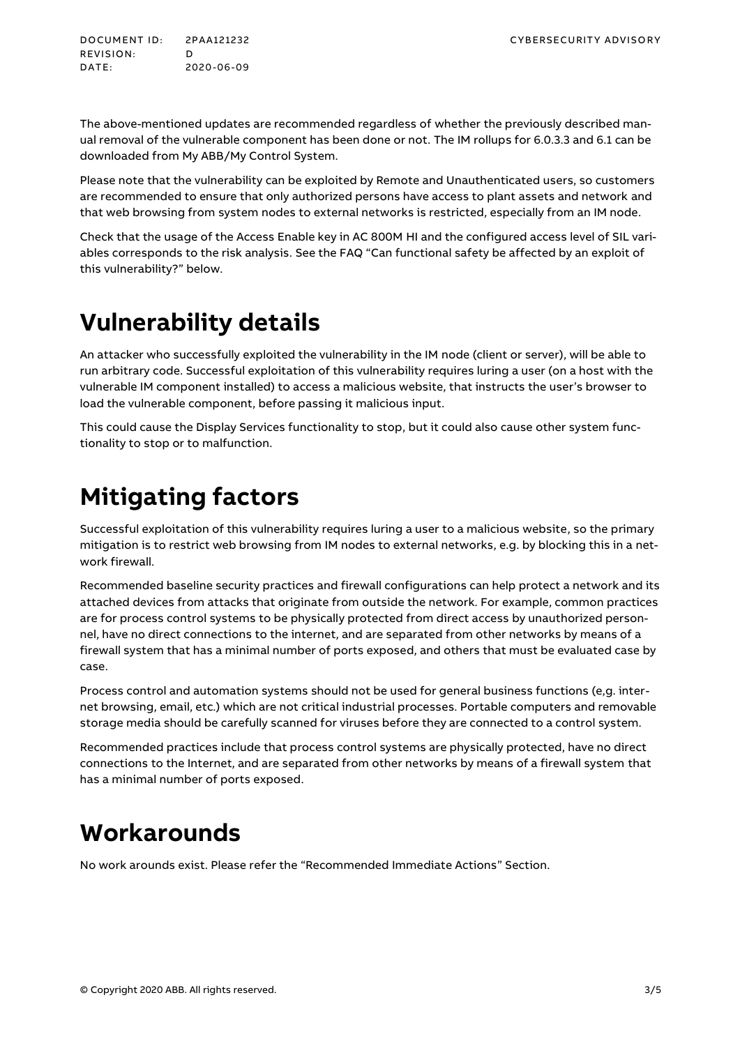DOCUMENT ID: 2PAA121232 CYBERSECURITY ADVISORY REVISION: D<br>DATE: 20 DATE: 2020-06-09

The above-mentioned updates are recommended regardless of whether the previously described manual removal of the vulnerable component has been done or not. The IM rollups for 6.0.3.3 and 6.1 can be downloaded from My ABB/My Control System.

Please note that the vulnerability can be exploited by Remote and Unauthenticated users, so customers are recommended to ensure that only authorized persons have access to plant assets and network and that web browsing from system nodes to external networks is restricted, especially from an IM node.

Check that the usage of the Access Enable key in AC800M HIand the configured access level of SIL variables corresponds to the risk analysis. See the FAQ "Can [functional](#page-3-0) safety be affected by an exploit of this [vulnerability?](#page-3-0)" [below.](#page-3-0)

### **Vulnerability details**

An attacker who successfully exploited the vulnerability in the IM node (client or server), will be able to run arbitrary code. Successful exploitation of this vulnerability requires luring a user (on a host with the vulnerable IM component installed) to access a malicious website, that instructs the user's browser to load the vulnerable component, before passing it malicious input.

This could cause the Display Services functionality to stop, but it could also cause other system functionality to stop or to malfunction.

### **Mitigating factors**

Successful exploitation of this vulnerability requires luring a user to a malicious website, so the primary mitigation is to restrict web browsing from IM nodes to external networks, e.g. by blocking this in a network firewall.

Recommended baseline security practices and firewall configurations can help protect a network and its attached devices from attacks that originate from outside the network. For example, common practices are for process control systems to be physically protected from direct access by unauthorized personnel, have no direct connections to the internet, and are separated from other networks by means of a firewall system that has a minimal number of ports exposed, and others that must be evaluated case by case.

Process control and automation systems should not be used for general business functions (e,g. internet browsing, email, etc.) which are not critical industrial processes. Portable computers and removable storage media should be carefully scanned for viruses before they are connected to a control system.

Recommended practices include that process control systems are physically protected, have no direct connections to the Internet, and are separated from other networks by means of a firewall system that has a minimal number of ports exposed.

### **Workarounds**

No work arounds exist. Please refer the "Recommended Immediate Actions" Section.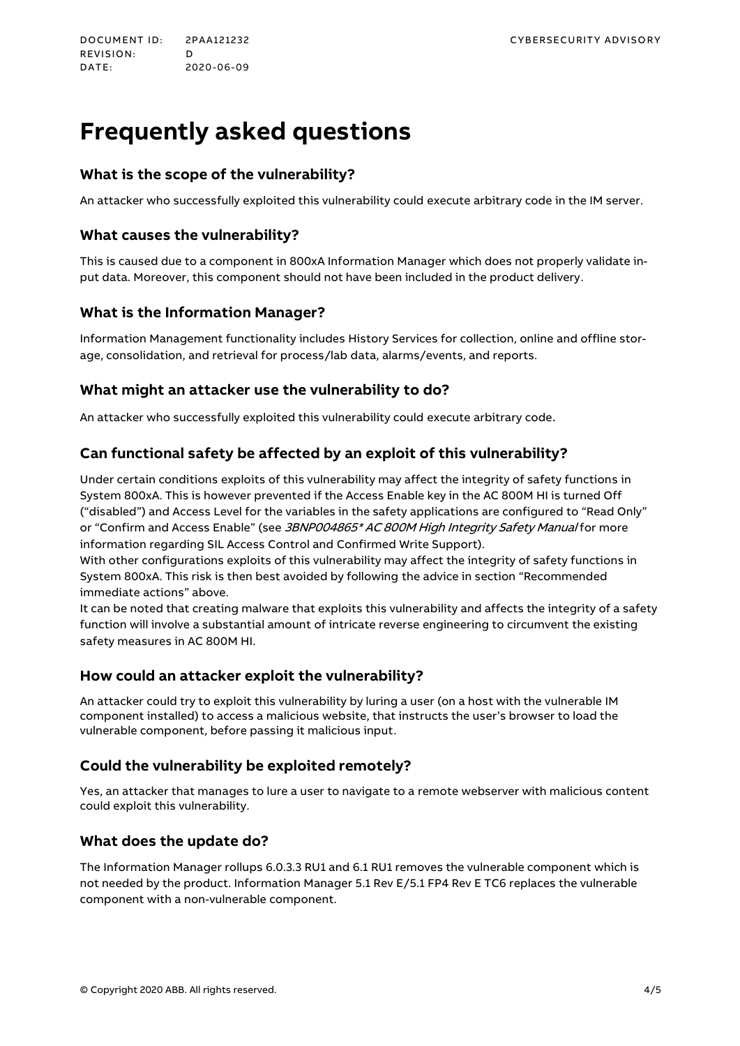# <span id="page-3-0"></span>**Frequently asked questions**

#### **What is the scope of the vulnerability?**

An attacker who successfully exploited this vulnerability could execute arbitrary code in the IM server.

#### **What causes the vulnerability?**

This is caused due to a component in 800xA Information Manager which does not properly validate input data. Moreover, this component should not have been included in the product delivery.

#### **What is the Information Manager?**

Information Management functionality includes History Services for collection, online and offline storage, consolidation, and retrieval for process/lab data, alarms/events, and reports.

#### **What might an attacker use the vulnerability to do?**

An attacker who successfully exploited this vulnerability could execute arbitrary code.

#### **Can functional safety be affected by an exploit of this vulnerability?**

Under certain conditions exploits of this vulnerability may affect the integrity of safety functions in System 800xA. This is however prevented if the Access Enable key in the AC800MHIis turned Off ("disabled") and Access Level for the variables in the safety applications are configured to "Read Only" or "Confirm and Access Enable" (see 3BNP004865\* AC 800M High Integrity Safety Manual for more information regarding SIL Access Control and Confirmed Write Support).

With other configurations exploits of this vulnerability may affect the integrity of safety functions in System 800xA. This risk is then best avoided by following the advice in section "[Recommended](#page-1-0) [immediate](#page-1-0) actions" [above.](#page-1-0)

It can be noted that creating malware that exploits this vulnerability and affects the integrity of a safety function will involve a substantial amount of intricate reverse engineering to circumvent the existing safety measures in AC 800M HI.

#### **How could an attacker exploit the vulnerability?**

An attacker could try to exploit this vulnerability by luring a user (on a host with the vulnerable IM component installed) to access a malicious website, that instructs the user's browser to load the vulnerable component, before passing it malicious input.

#### **Could the vulnerability be exploited remotely?**

Yes, an attacker that manages to lure a user to navigate to a remote webserver with malicious content could exploit this vulnerability.

#### **What does the update do?**

The Information Manager rollups 6.0.3.3 RU1 and 6.1 RU1 removes the vulnerable component which is not needed by the product. Information Manager 5.1 Rev E/5.1 FP4 Rev E TC6 replaces the vulnerable component with a non-vulnerable component.